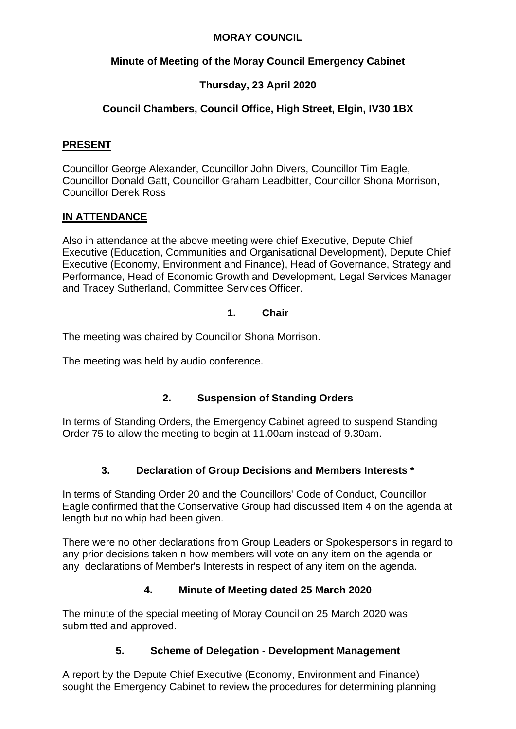#### **MORAY COUNCIL**

### **Minute of Meeting of the Moray Council Emergency Cabinet**

# **Thursday, 23 April 2020**

# **Council Chambers, Council Office, High Street, Elgin, IV30 1BX**

#### **PRESENT**

Councillor George Alexander, Councillor John Divers, Councillor Tim Eagle, Councillor Donald Gatt, Councillor Graham Leadbitter, Councillor Shona Morrison, Councillor Derek Ross

## **IN ATTENDANCE**

Also in attendance at the above meeting were chief Executive, Depute Chief Executive (Education, Communities and Organisational Development), Depute Chief Executive (Economy, Environment and Finance), Head of Governance, Strategy and Performance, Head of Economic Growth and Development, Legal Services Manager and Tracey Sutherland, Committee Services Officer.

#### **1. Chair**

The meeting was chaired by Councillor Shona Morrison.

The meeting was held by audio conference.

#### **2. Suspension of Standing Orders**

In terms of Standing Orders, the Emergency Cabinet agreed to suspend Standing Order 75 to allow the meeting to begin at 11.00am instead of 9.30am.

#### **3. Declaration of Group Decisions and Members Interests \***

In terms of Standing Order 20 and the Councillors' Code of Conduct, Councillor Eagle confirmed that the Conservative Group had discussed Item 4 on the agenda at length but no whip had been given.

There were no other declarations from Group Leaders or Spokespersons in regard to any prior decisions taken n how members will vote on any item on the agenda or any declarations of Member's Interests in respect of any item on the agenda.

#### **4. Minute of Meeting dated 25 March 2020**

The minute of the special meeting of Moray Council on 25 March 2020 was submitted and approved.

#### **5. Scheme of Delegation - Development Management**

A report by the Depute Chief Executive (Economy, Environment and Finance) sought the Emergency Cabinet to review the procedures for determining planning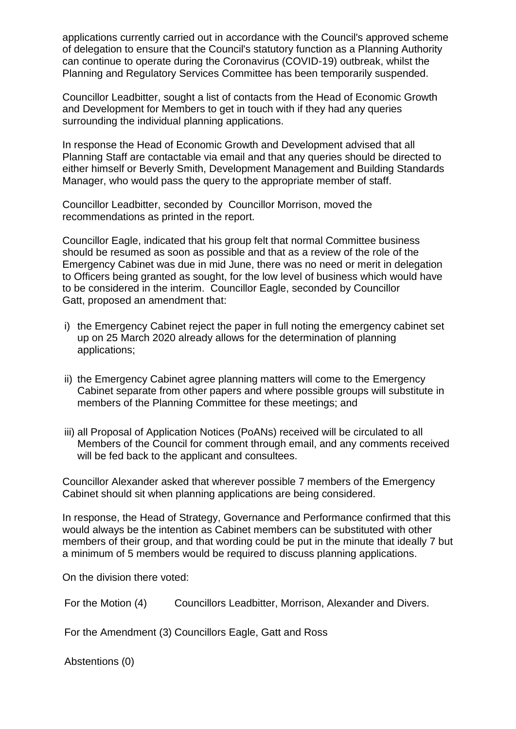applications currently carried out in accordance with the Council's approved scheme of delegation to ensure that the Council's statutory function as a Planning Authority can continue to operate during the Coronavirus (COVID-19) outbreak, whilst the Planning and Regulatory Services Committee has been temporarily suspended.

Councillor Leadbitter, sought a list of contacts from the Head of Economic Growth and Development for Members to get in touch with if they had any queries surrounding the individual planning applications.

In response the Head of Economic Growth and Development advised that all Planning Staff are contactable via email and that any queries should be directed to either himself or Beverly Smith, Development Management and Building Standards Manager, who would pass the query to the appropriate member of staff.

Councillor Leadbitter, seconded by Councillor Morrison, moved the recommendations as printed in the report.

Councillor Eagle, indicated that his group felt that normal Committee business should be resumed as soon as possible and that as a review of the role of the Emergency Cabinet was due in mid June, there was no need or merit in delegation to Officers being granted as sought, for the low level of business which would have to be considered in the interim. Councillor Eagle, seconded by Councillor Gatt, proposed an amendment that:

- i) the Emergency Cabinet reject the paper in full noting the emergency cabinet set up on 25 March 2020 already allows for the determination of planning applications;
- ii) the Emergency Cabinet agree planning matters will come to the Emergency Cabinet separate from other papers and where possible groups will substitute in members of the Planning Committee for these meetings; and
- iii) all Proposal of Application Notices (PoANs) received will be circulated to all Members of the Council for comment through email, and any comments received will be fed back to the applicant and consultees.

Councillor Alexander asked that wherever possible 7 members of the Emergency Cabinet should sit when planning applications are being considered.

In response, the Head of Strategy, Governance and Performance confirmed that this would always be the intention as Cabinet members can be substituted with other members of their group, and that wording could be put in the minute that ideally 7 but a minimum of 5 members would be required to discuss planning applications.

On the division there voted:

For the Motion (4) Councillors Leadbitter, Morrison, Alexander and Divers.

For the Amendment (3) Councillors Eagle, Gatt and Ross

Abstentions (0)